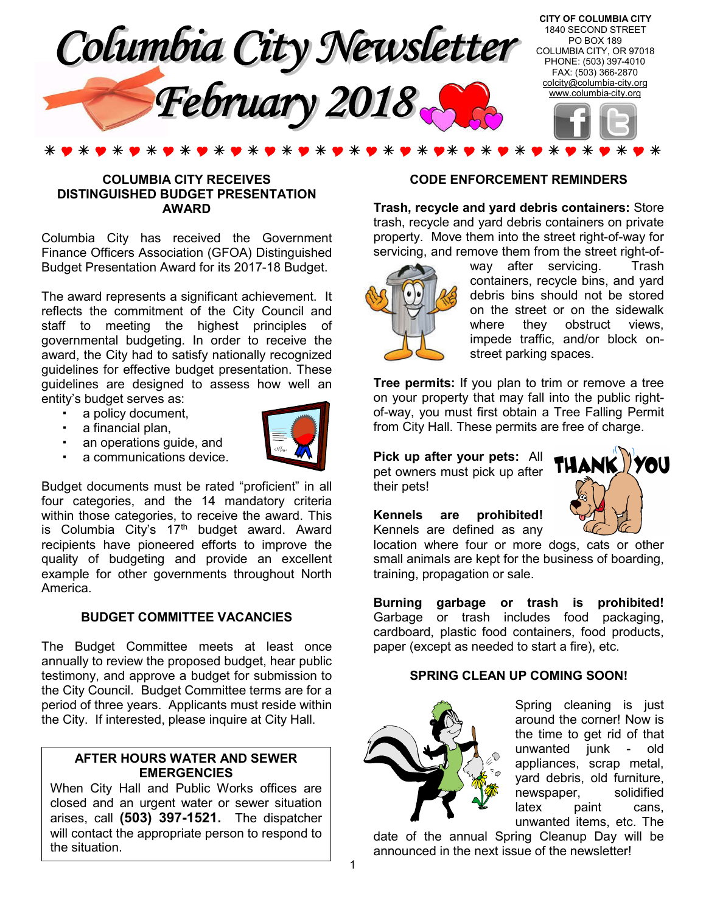

### **COLUMBIA CITY RECEIVES DISTINGUISHED BUDGET PRESENTATION AWARD**

Columbia City has received the Government Finance Officers Association (GFOA) Distinguished Budget Presentation Award for its 2017-18 Budget.

The award represents a significant achievement. It reflects the commitment of the City Council and staff to meeting the highest principles of governmental budgeting. In order to receive the award, the City had to satisfy nationally recognized guidelines for effective budget presentation. These guidelines are designed to assess how well an entity's budget serves as:

- a policy document,
- a financial plan,
- an operations guide, and
- a communications device.



Budget documents must be rated "proficient" in all four categories, and the 14 mandatory criteria within those categories, to receive the award. This is Columbia City's  $17<sup>th</sup>$  budget award. Award recipients have pioneered efforts to improve the quality of budgeting and provide an excellent example for other governments throughout North America.

### **BUDGET COMMITTEE VACANCIES**

The Budget Committee meets at least once annually to review the proposed budget, hear public testimony, and approve a budget for submission to the City Council. Budget Committee terms are for a period of three years. Applicants must reside within the City. If interested, please inquire at City Hall.

### **AFTER HOURS WATER AND SEWER EMERGENCIES**

When City Hall and Public Works offices are closed and an urgent water or sewer situation arises, call **(503) 397-1521.** The dispatcher will contact the appropriate person to respond to the situation.

### **CODE ENFORCEMENT REMINDERS**

**Trash, recycle and yard debris containers:** Store trash, recycle and yard debris containers on private property. Move them into the street right-of-way for servicing, and remove them from the street right-of-



way after servicing. Trash containers, recycle bins, and yard debris bins should not be stored on the street or on the sidewalk where they obstruct views, impede traffic, and/or block onstreet parking spaces.

**Tree permits:** If you plan to trim or remove a tree on your property that may fall into the public rightof-way, you must first obtain a Tree Falling Permit from City Hall. These permits are free of charge.

**Pick up after your pets:** All pet owners must pick up after their pets!

**Kennels are prohibited!** Kennels are defined as any



location where four or more dogs, cats or other small animals are kept for the business of boarding, training, propagation or sale.

**Burning garbage or trash is prohibited!**  Garbage or trash includes food packaging, cardboard, plastic food containers, food products, paper (except as needed to start a fire), etc.

### **SPRING CLEAN UP COMING SOON!**



Spring cleaning is just around the corner! Now is the time to get rid of that unwanted junk - old appliances, scrap metal, yard debris, old furniture, newspaper, solidified latex paint cans, unwanted items, etc. The

date of the annual Spring Cleanup Day will be announced in the next issue of the newsletter!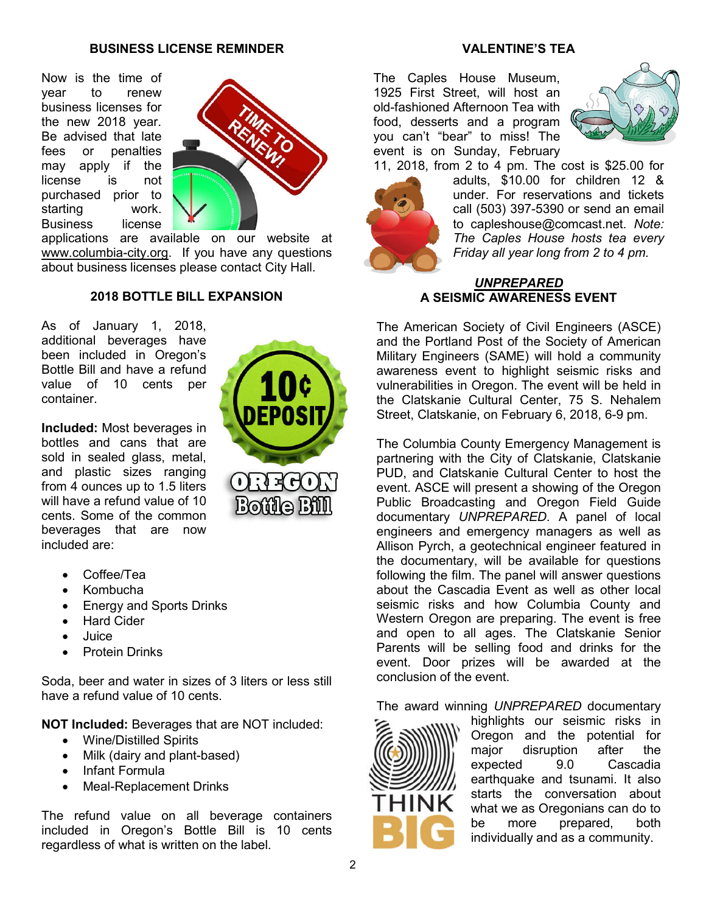### **BUSINESS LICENSE REMINDER**

Now is the time of year to renew business licenses for the new 2018 year. Be advised that late fees or penalties may apply if the license is not purchased prior to starting work. Business license



applications are available on our website at www.columbia-city.org. If you have any questions about business licenses please contact City Hall.

### **2018 BOTTLE BILL EXPANSION**

As of January 1, 2018, additional beverages have been included in Oregon's Bottle Bill and have a refund value of 10 cents per container.

**Included:** Most beverages in bottles and cans that are sold in sealed glass, metal, and plastic sizes ranging from 4 ounces up to 1.5 liters will have a refund value of 10 cents. Some of the common beverages that are now included are:

- Coffee/Tea
- Kombucha
- Energy and Sports Drinks
- Hard Cider
- Juice
- Protein Drinks

Soda, beer and water in sizes of 3 liters or less still have a refund value of 10 cents.

**NOT Included:** Beverages that are NOT included:

- Wine/Distilled Spirits
- Milk (dairy and plant-based)
- Infant Formula
- Meal-Replacement Drinks

The refund value on all beverage containers included in Oregon's Bottle Bill is 10 cents regardless of what is written on the label.

# ORECON

Bottle Bill

### **VALENTINE'S TEA**

The Caples House Museum, 1925 First Street, will host an old-fashioned Afternoon Tea with food, desserts and a program you can't "bear" to miss! The event is on Sunday, February



11, 2018, from 2 to 4 pm. The cost is \$25.00 for



adults, \$10.00 for children 12 & under. For reservations and tickets call (503) 397-5390 or send an email to capleshouse@comcast.net. *Note: The Caples House hosts tea every Friday all year long from 2 to 4 pm.*

### *UNPREPARED* **A SEISMIC AWARENESS EVENT**

The American Society of Civil Engineers (ASCE) and the Portland Post of the Society of American Military Engineers (SAME) will hold a community awareness event to highlight seismic risks and vulnerabilities in Oregon. The event will be held in the Clatskanie Cultural Center, 75 S. Nehalem Street, Clatskanie, on February 6, 2018, 6-9 pm.

The Columbia County Emergency Management is partnering with the City of Clatskanie, Clatskanie PUD, and Clatskanie Cultural Center to host the event. ASCE will present a showing of the Oregon Public Broadcasting and Oregon Field Guide documentary *UNPREPARED*. A panel of local engineers and emergency managers as well as Allison Pyrch, a geotechnical engineer featured in the documentary, will be available for questions following the film. The panel will answer questions about the Cascadia Event as well as other local seismic risks and how Columbia County and Western Oregon are preparing. The event is free and open to all ages. The Clatskanie Senior Parents will be selling food and drinks for the event. Door prizes will be awarded at the conclusion of the event.

The award winning *UNPREPARED* documentary



highlights our seismic risks in Oregon and the potential for major disruption after the expected 9.0 Cascadia earthquake and tsunami. It also starts the conversation about what we as Oregonians can do to be more prepared, both individually and as a community.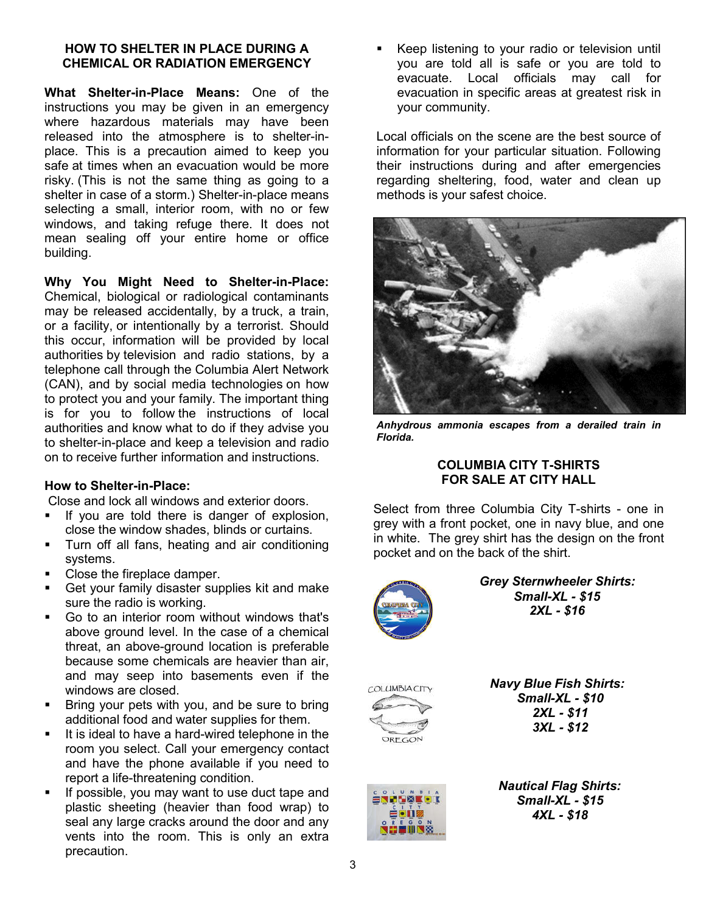### **HOW TO SHELTER IN PLACE DURING A CHEMICAL OR RADIATION EMERGENCY**

**What Shelter-in-Place Means:** One of the instructions you may be given in an emergency where hazardous materials may have been released into the atmosphere is to shelter-inplace. This is a precaution aimed to keep you safe at times when an evacuation would be more risky. (This is not the same thing as going to a shelter in case of a storm.) Shelter-in-place means selecting a small, interior room, with no or few windows, and taking refuge there. It does not mean sealing off your entire home or office building.

**Why You Might Need to Shelter-in-Place:** Chemical, biological or radiological contaminants may be released accidentally, by a truck, a train, or a facility, or intentionally by a terrorist. Should this occur, information will be provided by local authorities by television and radio stations, by a telephone call through the Columbia Alert Network (CAN), and by social media technologies on how to protect you and your family. The important thing is for you to follow the instructions of local authorities and know what to do if they advise you to shelter-in-place and keep a television and radio on to receive further information and instructions.

### **How to Shelter-in-Place:**

Close and lock all windows and exterior doors.

- If you are told there is danger of explosion, close the window shades, blinds or curtains.
- **Turn off all fans, heating and air conditioning** systems.
- Close the fireplace damper.
- Get your family disaster supplies kit and make sure the radio is working.
- Go to an interior room without windows that's above ground level. In the case of a chemical threat, an above-ground location is preferable because some chemicals are heavier than air, and may seep into basements even if the windows are closed.
- Bring your pets with you, and be sure to bring additional food and water supplies for them.
- It is ideal to have a hard-wired telephone in the room you select. Call your emergency contact and have the phone available if you need to report a life-threatening condition.
- If possible, you may want to use duct tape and plastic sheeting (heavier than food wrap) to seal any large cracks around the door and any vents into the room. This is only an extra precaution.

 Keep listening to your radio or television until you are told all is safe or you are told to evacuate. Local officials may call for evacuation in specific areas at greatest risk in your community.

Local officials on the scene are the best source of information for your particular situation. Following their instructions during and after emergencies regarding sheltering, food, water and clean up methods is your safest choice.



*Anhydrous ammonia escapes from a derailed train in Florida.*

### **COLUMBIA CITY T-SHIRTS FOR SALE AT CITY HALL**

Select from three Columbia City T-shirts - one in grey with a front pocket, one in navy blue, and one in white. The grey shirt has the design on the front pocket and on the back of the shirt.



 *Grey Sternwheeler Shirts: Small-XL - \$15 2XL - \$16*



 *Navy Blue Fish Shirts: Small-XL - \$10 2XL - \$11 3XL - \$12*



 *Nautical Flag Shirts: Small-XL - \$15 4XL - \$18*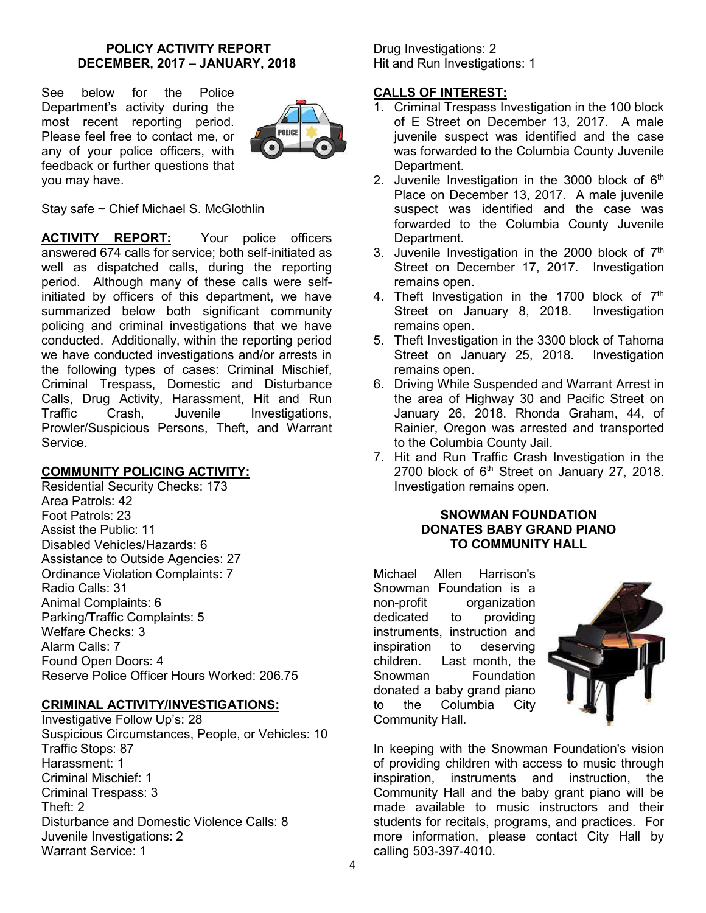### **POLICY ACTIVITY REPORT DECEMBER, 2017 – JANUARY, 2018**

See below for the Police Department's activity during the most recent reporting period. Please feel free to contact me, or any of your police officers, with feedback or further questions that you may have.



Stay safe ~ Chief Michael S. McGlothlin

**ACTIVITY REPORT:** Your police officers answered 674 calls for service; both self-initiated as well as dispatched calls, during the reporting period. Although many of these calls were selfinitiated by officers of this department, we have summarized below both significant community policing and criminal investigations that we have conducted. Additionally, within the reporting period we have conducted investigations and/or arrests in the following types of cases: Criminal Mischief, Criminal Trespass, Domestic and Disturbance Calls, Drug Activity, Harassment, Hit and Run Traffic Crash, Juvenile Investigations, Prowler/Suspicious Persons, Theft, and Warrant Service.

### **COMMUNITY POLICING ACTIVITY:**

Residential Security Checks: 173 Area Patrols: 42 Foot Patrols: 23 Assist the Public: 11 Disabled Vehicles/Hazards: 6 Assistance to Outside Agencies: 27 Ordinance Violation Complaints: 7 Radio Calls: 31 Animal Complaints: 6 Parking/Traffic Complaints: 5 Welfare Checks: 3 Alarm Calls: 7 Found Open Doors: 4 Reserve Police Officer Hours Worked: 206.75

### **CRIMINAL ACTIVITY/INVESTIGATIONS:**

Investigative Follow Up's: 28 Suspicious Circumstances, People, or Vehicles: 10 Traffic Stops: 87 Harassment: 1 Criminal Mischief: 1 Criminal Trespass: 3 Theft: 2 Disturbance and Domestic Violence Calls: 8 Juvenile Investigations: 2 Warrant Service: 1

Drug Investigations: 2 Hit and Run Investigations: 1

### **CALLS OF INTEREST:**

- 1. Criminal Trespass Investigation in the 100 block of E Street on December 13, 2017. A male juvenile suspect was identified and the case was forwarded to the Columbia County Juvenile Department.
- 2. Juvenile Investigation in the 3000 block of  $6<sup>th</sup>$ Place on December 13, 2017. A male juvenile suspect was identified and the case was forwarded to the Columbia County Juvenile Department.
- 3. Juvenile Investigation in the 2000 block of  $7<sup>th</sup>$ Street on December 17, 2017. Investigation remains open.
- 4. Theft Investigation in the 1700 block of 7<sup>th</sup> Street on January 8, 2018. Investigation remains open.
- 5. Theft Investigation in the 3300 block of Tahoma Street on January 25, 2018. Investigation remains open.
- 6. Driving While Suspended and Warrant Arrest in the area of Highway 30 and Pacific Street on January 26, 2018. Rhonda Graham, 44, of Rainier, Oregon was arrested and transported to the Columbia County Jail.
- 7. Hit and Run Traffic Crash Investigation in the 2700 block of  $6<sup>th</sup>$  Street on January 27, 2018. Investigation remains open.

### **SNOWMAN FOUNDATION DONATES BABY GRAND PIANO TO COMMUNITY HALL**

Michael Allen Harrison's Snowman Foundation is a non-profit organization dedicated to providing instruments, instruction and inspiration to deserving children. Last month, the Snowman Foundation donated a baby grand piano to the Columbia City Community Hall.



In keeping with the Snowman Foundation's vision of providing children with access to music through inspiration, instruments and instruction, the Community Hall and the baby grant piano will be made available to music instructors and their students for recitals, programs, and practices. For more information, please contact City Hall by calling 503-397-4010.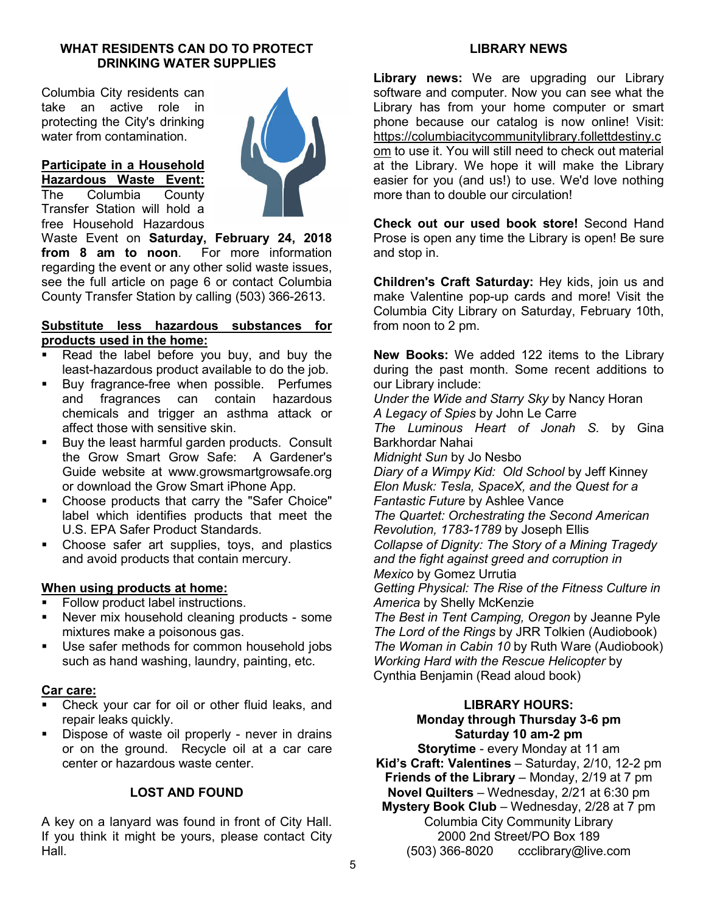### **WHAT RESIDENTS CAN DO TO PROTECT DRINKING WATER SUPPLIES**

Columbia City residents can take an active role in protecting the City's drinking water from contamination.

### **Participate in a Household Hazardous Waste Event:**

The Columbia County Transfer Station will hold a free Household Hazardous



Waste Event on **Saturday, February 24, 2018 from 8 am to noon**. For more information regarding the event or any other solid waste issues, see the full article on page 6 or contact Columbia County Transfer Station by calling (503) 366-2613.

### **Substitute less hazardous substances for products used in the home:**

- Read the label before you buy, and buy the least-hazardous product available to do the job.
- **Buy fragrance-free when possible. Perfumes** and fragrances can contain hazardous chemicals and trigger an asthma attack or affect those with sensitive skin.
- **Buy the least harmful garden products. Consult** the Grow Smart Grow Safe: A Gardener's Guide website at www.growsmartgrowsafe.org or download the Grow Smart iPhone App.
- Choose products that carry the "Safer Choice" label which identifies products that meet the U.S. EPA Safer Product Standards.
- Choose safer art supplies, toys, and plastics and avoid products that contain mercury.

### **When using products at home:**

- Follow product label instructions.
- Never mix household cleaning products some mixtures make a poisonous gas.
- **Use safer methods for common household jobs** such as hand washing, laundry, painting, etc.

### **Car care:**

- Check your car for oil or other fluid leaks, and repair leaks quickly.
- Dispose of waste oil properly never in drains or on the ground. Recycle oil at a car care center or hazardous waste center.

### **LOST AND FOUND**

A key on a lanyard was found in front of City Hall. If you think it might be yours, please contact City Hall.

### **LIBRARY NEWS**

**Library news:** We are upgrading our Library software and computer. Now you can see what the Library has from your home computer or smart phone because our catalog is now online! Visit: https://columbiacitycommunitylibrary.follettdestiny.c om to use it. You will still need to check out material at the Library. We hope it will make the Library easier for you (and us!) to use. We'd love nothing more than to double our circulation!

**Check out our used book store!** Second Hand Prose is open any time the Library is open! Be sure and stop in.

**Children's Craft Saturday:** Hey kids, join us and make Valentine pop-up cards and more! Visit the Columbia City Library on Saturday, February 10th, from noon to 2 pm.

**New Books:** We added 122 items to the Library during the past month. Some recent additions to our Library include:

*Under the Wide and Starry Sky* by Nancy Horan *A Legacy of Spies* by John Le Carre *The Luminous Heart of Jonah S.* by Gina Barkhordar Nahai *Midnight Sun* by Jo Nesbo *Diary of a Wimpy Kid: Old School* by Jeff Kinney *Elon Musk: Tesla, SpaceX, and the Quest for a Fantastic Future* by Ashlee Vance *The Quartet: Orchestrating the Second American Revolution, 1783-1789* by Joseph Ellis *Collapse of Dignity: The Story of a Mining Tragedy and the fight against greed and corruption in Mexico* by Gomez Urrutia *Getting Physical: The Rise of the Fitness Culture in America* by Shelly McKenzie

*The Best in Tent Camping, Oregon* by Jeanne Pyle *The Lord of the Rings* by JRR Tolkien (Audiobook) *The Woman in Cabin 10* by Ruth Ware (Audiobook) *Working Hard with the Rescue Helicopter* by Cynthia Benjamin (Read aloud book)

### **LIBRARY HOURS: Monday through Thursday 3-6 pm Saturday 10 am-2 pm**

**Storytime** - every Monday at 11 am **Kid's Craft: Valentines** – Saturday, 2/10, 12-2 pm **Friends of the Library** – Monday, 2/19 at 7 pm **Novel Quilters** – Wednesday, 2/21 at 6:30 pm **Mystery Book Club** – Wednesday, 2/28 at 7 pm Columbia City Community Library 2000 2nd Street/PO Box 189 (503) 366-8020 ccclibrary@live.com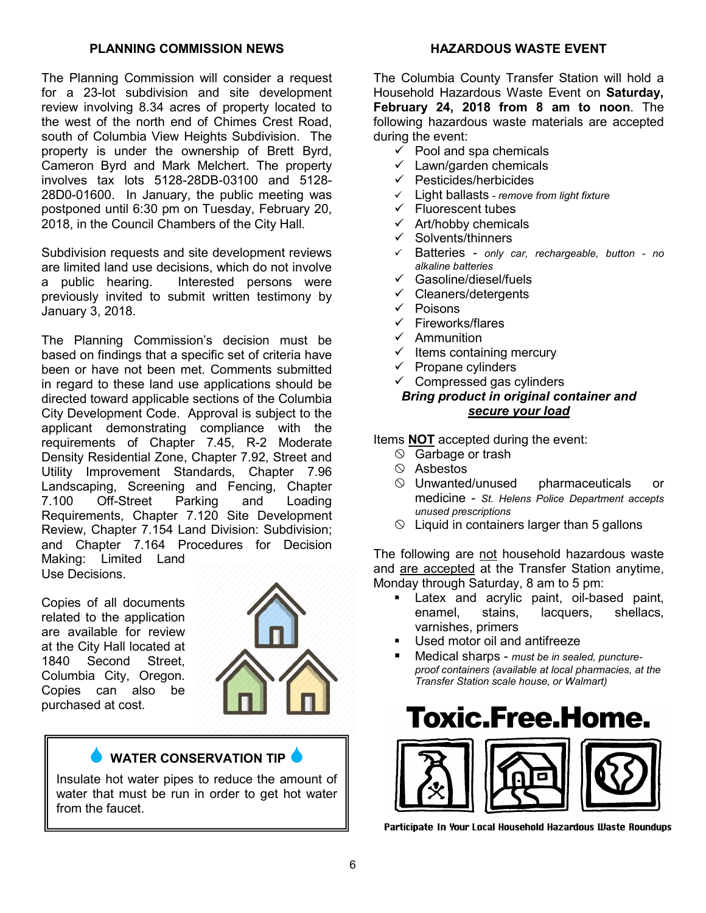### **PLANNING COMMISSION NEWS**

The Planning Commission will consider a request for a 23-lot subdivision and site development review involving 8.34 acres of property located to the west of the north end of Chimes Crest Road, south of Columbia View Heights Subdivision. The property is under the ownership of Brett Byrd, Cameron Byrd and Mark Melchert. The property involves tax lots 5128-28DB-03100 and 5128- 28D0-01600. In January, the public meeting was postponed until 6:30 pm on Tuesday, February 20, 2018, in the Council Chambers of the City Hall.

Subdivision requests and site development reviews are limited land use decisions, which do not involve a public hearing. Interested persons were previously invited to submit written testimony by January 3, 2018.

The Planning Commission's decision must be based on findings that a specific set of criteria have been or have not been met. Comments submitted in regard to these land use applications should be directed toward applicable sections of the Columbia City Development Code. Approval is subject to the applicant demonstrating compliance with the requirements of Chapter 7.45, R-2 Moderate Density Residential Zone, Chapter 7.92, Street and Utility Improvement Standards, Chapter 7.96 Landscaping, Screening and Fencing, Chapter 7.100 Off-Street Parking and Loading Requirements, Chapter 7.120 Site Development Review, Chapter 7.154 Land Division: Subdivision; and Chapter 7.164 Procedures for Decision Making: Limited Land Use Decisions.

Copies of all documents related to the application are available for review at the City Hall located at 1840 Second Street, Columbia City, Oregon. Copies can also be purchased at cost.



### **WATER CONSERVATION TIP**

Insulate hot water pipes to reduce the amount of water that must be run in order to get hot water from the faucet.

### **HAZARDOUS WASTE EVENT**

The Columbia County Transfer Station will hold a Household Hazardous Waste Event on **Saturday, February 24, 2018 from 8 am to noon**. The following hazardous waste materials are accepted during the event:

- $\checkmark$  Pool and spa chemicals
- $\checkmark$  Lawn/garden chemicals
- $\checkmark$  Pesticides/herbicides
- Light ballasts *- remove from light fixture*
- $\checkmark$  Fluorescent tubes
- $\checkmark$  Art/hobby chemicals
- $\checkmark$  Solvents/thinners
- Batteries *only car, rechargeable, button - no alkaline batteries*
- Gasoline/diesel/fuels
- $\checkmark$  Cleaners/detergents
- $\checkmark$  Poisons
- $\checkmark$  Fireworks/flares
- $\checkmark$  Ammunition
- $\checkmark$  Items containing mercury
- $\checkmark$  Propane cylinders
- $\checkmark$  Compressed gas cylinders

### *Bring product in original container and secure your load*

### Items **NOT** accepted during the event:

- $\circledcirc$  Garbage or trash
- $\circ$  Asbestos
- $\heartsuit$  Unwanted/unused pharmaceuticals or medicine - *St. Helens Police Department accepts unused prescriptions*
- $\Diamond$  Liquid in containers larger than 5 gallons

The following are not household hazardous waste and are accepted at the Transfer Station anytime, Monday through Saturday, 8 am to 5 pm:

- Latex and acrylic paint, oil-based paint, enamel, stains, lacquers, shellacs, varnishes, primers
- Used motor oil and antifreeze
- Medical sharps *must be in sealed, punctureproof containers (available at local pharmacies, at the Transfer Station scale house, or Walmart)*

# **Toxic.Free.Home.**



Participate In Your Local Household Hazardous Waste Roundups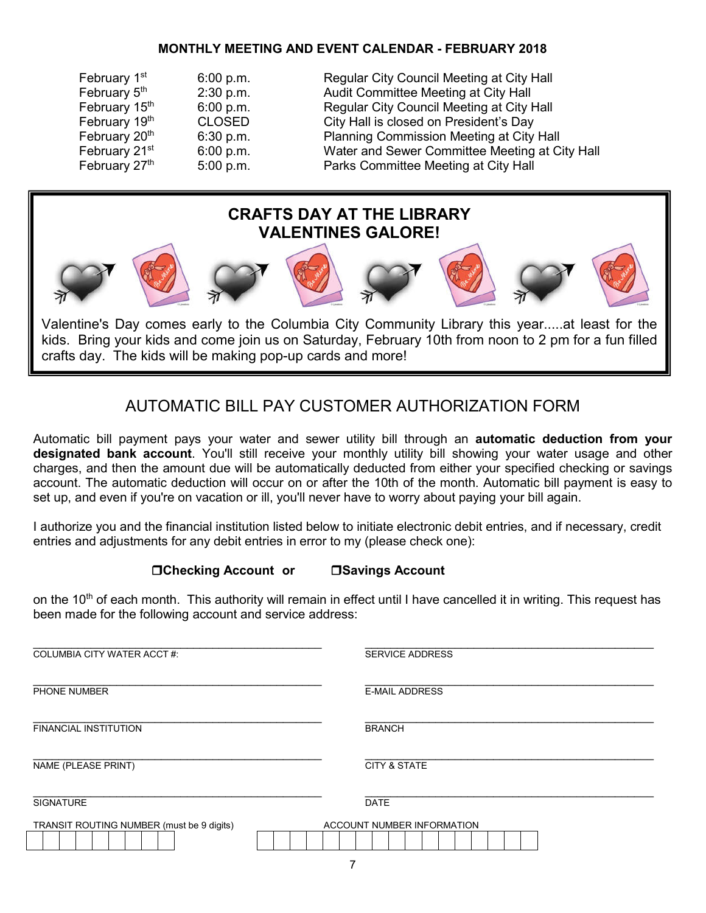### **MONTHLY MEETING AND EVENT CALENDAR - FEBRUARY 2018**

| February 1 <sup>st</sup>  | 6:00 p.m.     | Regular City Council Meeting at City Hall      |
|---------------------------|---------------|------------------------------------------------|
| February 5th              | 2:30 p.m.     | Audit Committee Meeting at City Hall           |
| February 15th             | 6:00 p.m.     | Regular City Council Meeting at City Hall      |
| February 19th             | <b>CLOSED</b> | City Hall is closed on President's Day         |
| February 20th             | 6:30 p.m.     | Planning Commission Meeting at City Hall       |
| February 21 <sup>st</sup> | 6:00 p.m.     | Water and Sewer Committee Meeting at City Hall |
| February 27th             | 5:00 p.m.     | Parks Committee Meeting at City Hall           |



Valentine's Day comes early to the Columbia City Community Library this year.....at least for the kids. Bring your kids and come join us on Saturday, February 10th from noon to 2 pm for a fun filled crafts day. The kids will be making pop-up cards and more!

### AUTOMATIC BILL PAY CUSTOMER AUTHORIZATION FORM

Automatic bill payment pays your water and sewer utility bill through an **automatic deduction from your designated bank account**. You'll still receive your monthly utility bill showing your water usage and other charges, and then the amount due will be automatically deducted from either your specified checking or savings account. The automatic deduction will occur on or after the 10th of the month. Automatic bill payment is easy to set up, and even if you're on vacation or ill, you'll never have to worry about paying your bill again.

I authorize you and the financial institution listed below to initiate electronic debit entries, and if necessary, credit entries and adjustments for any debit entries in error to my (please check one):

### **Checking Account or Savings Account**

on the 10<sup>th</sup> of each month. This authority will remain in effect until I have cancelled it in writing. This request has been made for the following account and service address:

| <b>COLUMBIA CITY WATER ACCT#:</b>         | <b>SERVICE ADDRESS</b>     |  |
|-------------------------------------------|----------------------------|--|
| PHONE NUMBER                              | <b>E-MAIL ADDRESS</b>      |  |
| <b>FINANCIAL INSTITUTION</b>              | <b>BRANCH</b>              |  |
| NAME (PLEASE PRINT)                       | <b>CITY &amp; STATE</b>    |  |
| <b>SIGNATURE</b>                          | <b>DATE</b>                |  |
| TRANSIT ROUTING NUMBER (must be 9 digits) | ACCOUNT NUMBER INFORMATION |  |